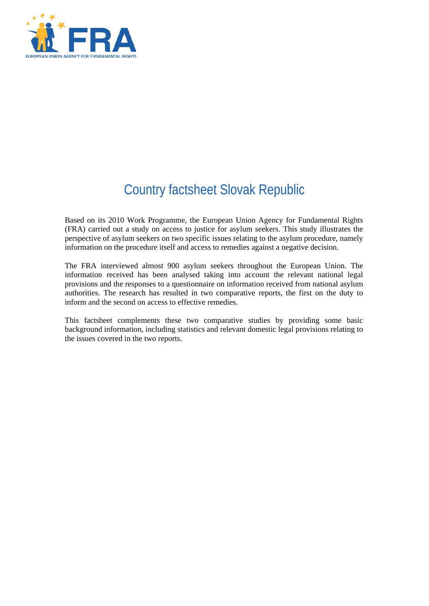

# Country factsheet Slovak Republic

Based on its 2010 Work Programme, the European Union Agency for Fundamental Rights (FRA) carried out a study on access to justice for asylum seekers. This study illustrates the perspective of asylum seekers on two specific issues relating to the asylum procedure, namely information on the procedure itself and access to remedies against a negative decision.

The FRA interviewed almost 900 asylum seekers throughout the European Union. The information received has been analysed taking into account the relevant national legal provisions and the responses to a questionnaire on information received from national asylum authorities. The research has resulted in two comparative reports, the first on the duty to inform and the second on access to effective remedies.

This factsheet complements these two comparative studies by providing some basic background information, including statistics and relevant domestic legal provisions relating to the issues covered in the two reports.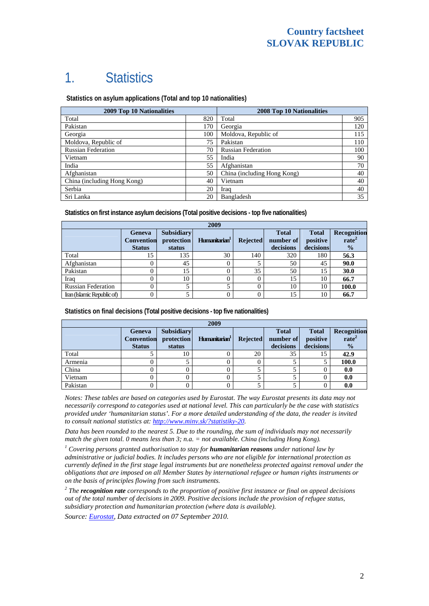## 1. Statistics

 **Statistics on asylum applications (Total and top 10 nationalities)**

| <b>2009 Top 10 Nationalities</b> | <b>2008 Top 10 Nationalities</b> |                             |     |
|----------------------------------|----------------------------------|-----------------------------|-----|
| Total                            | 820                              | Total                       | 905 |
| Pakistan                         | 170                              | Georgia                     | 120 |
| Georgia                          | 100                              | Moldova, Republic of        | 115 |
| Moldova, Republic of             | 75                               | Pakistan                    | 110 |
| <b>Russian Federation</b>        | 70                               | <b>Russian Federation</b>   | 100 |
| Vietnam                          | 55                               | India                       | 90  |
| India                            | 55                               | Afghanistan                 | 70  |
| Afghanistan                      | 50                               | China (including Hong Kong) | 40  |
| China (including Hong Kong)      | 40                               | Vietnam                     | 40  |
| Serbia                           | 20                               | Iraq                        | 40  |
| Sri Lanka                        | 20                               | Bangladesh                  | 35  |

**Statistics on first instance asylum decisions (Total positive decisions - top five nationalities)** 

| 2009                       |                                              |                                           |                           |                 |                                        |                                       |                                                   |
|----------------------------|----------------------------------------------|-------------------------------------------|---------------------------|-----------------|----------------------------------------|---------------------------------------|---------------------------------------------------|
|                            | Geneva<br><b>Convention</b><br><b>Status</b> | <b>Subsidiary</b><br>protection<br>status | Humanitarian <sup>1</sup> | <b>Rejected</b> | <b>Total</b><br>number of<br>decisions | <b>Total</b><br>positive<br>decisions | Recognition<br>rate <sup>2</sup><br>$\frac{1}{2}$ |
| Total                      |                                              | 135                                       | 30                        | 140             | 320                                    | 180                                   | 56.3                                              |
| Afghanistan                |                                              | 45                                        |                           |                 | 50                                     | 45                                    | 90.0                                              |
| Pakistan                   |                                              | 15                                        |                           | 35              | 50                                     | 15                                    | 30.0                                              |
| Iraq                       |                                              | 10                                        |                           | $\Omega$        | 15                                     | 10                                    | 66.7                                              |
| <b>Russian Federation</b>  |                                              |                                           |                           |                 | 10                                     | 10                                    | 100.0                                             |
| Iran (Islamic Republic of) |                                              |                                           |                           |                 | 15                                     | 10                                    | 66.7                                              |

**Statistics on final decisions (Total positive decisions - top five nationalities)** 

| 2009     |                                                     |                                           |                           |                 |                                        |                                       |                                                   |
|----------|-----------------------------------------------------|-------------------------------------------|---------------------------|-----------------|----------------------------------------|---------------------------------------|---------------------------------------------------|
|          | <b>Geneva</b><br><b>Convention</b><br><b>Status</b> | <b>Subsidiary</b><br>protection<br>status | Humanitarian <sup>1</sup> | <b>Rejected</b> | <b>Total</b><br>number of<br>decisions | <b>Total</b><br>positive<br>decisions | Recognition<br>rate <sup>2</sup><br>$\frac{0}{0}$ |
| Total    |                                                     | 10                                        |                           | 20              | 35                                     | 15                                    | 42.9                                              |
| Armenia  |                                                     |                                           |                           | 0               |                                        |                                       | 100.0                                             |
| China    |                                                     |                                           |                           |                 |                                        |                                       | 0.0                                               |
| Vietnam  |                                                     |                                           |                           |                 |                                        |                                       | 0.0                                               |
| Pakistan |                                                     |                                           |                           |                 |                                        |                                       | 0.0                                               |

*Notes: These tables are based on categories used by Eurostat. The way Eurostat presents its data may not necessarily correspond to categories used at national level. This can particularly be the case with statistics provided under 'humanitarian status'. For a more detailed understanding of the data, the reader is invited to consult national statistics at:<http://www.minv.sk/?statistiky-20>.* 

*Data has been rounded to the nearest 5. Due to the rounding, the sum of individuals may not necessarily match the given total. 0 means less than 3; n.a. = not available. China (including Hong Kong).*

<sup>1</sup> Covering persons granted authorisation to stay for **humanitarian reasons** under national law by *administrative or judicial bodies. It includes persons who are not eligible for international protection as currently defined in the first stage legal instruments but are nonetheless protected against removal under the obligations that are imposed on all Member States by international refugee or human rights instruments or on the basis of principles flowing from such instruments.* 

*2 The recognition rate corresponds to the proportion of positive first instance or final on appeal decisions out of the total number of decisions in 2009. Positive decisions include the provision of refugee status, subsidiary protection and humanitarian protection (where data is available).* 

*Source: [Eurostat](http://epp.eurostat.ec.europa.eu/), Data extracted on 07 September 2010.*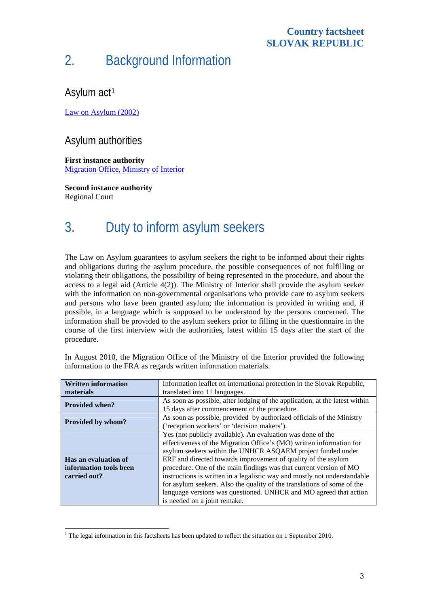#### **Country factsheet SLOVAK REPUBLIC**

## 2. Background Information

Asylum act<sup>[1](#page-2-0)</sup>

[Law on Asylum \(2002\)](http://www.unhcr-budapest.org/slovakia/images/stories/news/docs/07_Legal%20material/7_6_national%20laws_SVK/Law%20on%20Asylum%20-%20English%20version.pdf)

#### Asylum authorities

**First instance authority**  [Migration Office, Ministry of Interior](http://www.minv.sk/?migracny-urad-mv-sr) 

**Second instance authority**  Regional Court

1

# 3. Duty to inform asylum seekers

The Law on Asylum guarantees to asylum seekers the right to be informed about their rights and obligations during the asylum procedure, the possible consequences of not fulfilling or violating their obligations, the possibility of being represented in the procedure, and about the access to a legal aid (Article  $4(2)$ ). The Ministry of Interior shall provide the asylum seeker with the information on non-governmental organisations who provide care to asylum seekers and persons who have been granted asylum; the information is provided in writing and, if possible, in a language which is supposed to be understood by the persons concerned. The information shall be provided to the asylum seekers prior to filling in the questionnaire in the course of the first interview with the authorities, latest within 15 days after the start of the procedure.

| <b>Written information</b> | Information leaflet on international protection in the Slovak Republic,     |  |  |  |
|----------------------------|-----------------------------------------------------------------------------|--|--|--|
| materials                  | translated into 11 languages.                                               |  |  |  |
|                            | As soon as possible, after lodging of the application, at the latest within |  |  |  |
| <b>Provided when?</b>      | 15 days after commencement of the procedure.                                |  |  |  |
|                            | As soon as possible, provided by authorized officials of the Ministry       |  |  |  |
| <b>Provided by whom?</b>   | ('reception workers' or 'decision makers').                                 |  |  |  |
|                            | Yes (not publicly available). An evaluation was done of the                 |  |  |  |
|                            | effectiveness of the Migration Office's (MO) written information for        |  |  |  |
|                            | asylum seekers within the UNHCR ASQAEM project funded under                 |  |  |  |
| Has an evaluation of       | ERF and directed towards improvement of quality of the asylum               |  |  |  |
| information tools been     | procedure. One of the main findings was that current version of MO          |  |  |  |
| carried out?               | instructions is written in a legalistic way and mostly not understandable   |  |  |  |
|                            | for asylum seekers. Also the quality of the translations of some of the     |  |  |  |
|                            | language versions was questioned. UNHCR and MO agreed that action           |  |  |  |
|                            | is needed on a joint remake.                                                |  |  |  |

In August 2010, the Migration Office of the Ministry of the Interior provided the following information to the FRA as regards written information materials.

<span id="page-2-0"></span> $1$ <sup>1</sup> The legal information in this factsheets has been updated to reflect the situation on 1 September 2010.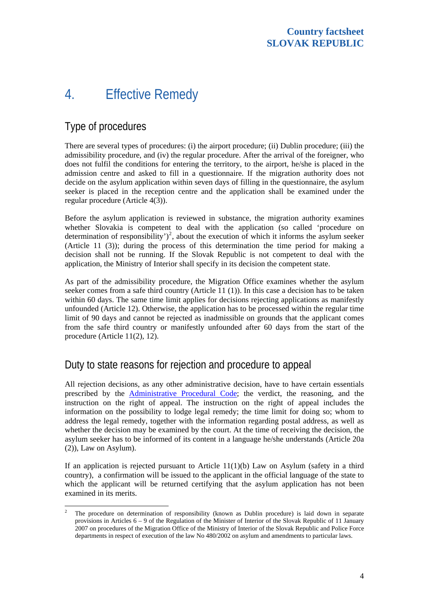## 4. Effective Remedy

### Type of procedures

1

There are several types of procedures: (i) the airport procedure; (ii) Dublin procedure; (iii) the admissibility procedure, and (iv) the regular procedure. After the arrival of the foreigner, who does not fulfil the conditions for entering the territory, to the airport, he/she is placed in the admission centre and asked to fill in a questionnaire. If the migration authority does not decide on the asylum application within seven days of filling in the questionnaire, the asylum seeker is placed in the reception centre and the application shall be examined under the regular procedure (Article 4(3)).

Before the asylum application is reviewed in substance, the migration authority examines whether Slovakia is competent to deal with the application (so called 'procedure on determination of responsibility')<sup>[2](#page-3-0)</sup>, about the execution of which it informs the asylum seeker (Article 11 (3)); during the process of this determination the time period for making a decision shall not be running. If the Slovak Republic is not competent to deal with the application, the Ministry of Interior shall specify in its decision the competent state.

As part of the admissibility procedure, the Migration Office examines whether the asylum seeker comes from a safe third country (Article 11 (1)). In this case a decision has to be taken within 60 days. The same time limit applies for decisions rejecting applications as manifestly unfounded (Article 12). Otherwise, the application has to be processed within the regular time limit of 90 days and cannot be rejected as inadmissible on grounds that the applicant comes from the safe third country or manifestly unfounded after 60 days from the start of the procedure (Article 11(2), 12).

#### Duty to state reasons for rejection and procedure to appeal

All rejection decisions, as any other administrative decision, have to have certain essentials prescribed by the [Administrative Procedural Code;](http://www.unhcr.org/refworld/category,LEGAL,,LEGISLATION,SVK,3ae6b50410,0.html) the verdict, the reasoning, and the instruction on the right of appeal. The instruction on the right of appeal includes the information on the possibility to lodge legal remedy; the time limit for doing so; whom to address the legal remedy, together with the information regarding postal address, as well as whether the decision may be examined by the court. At the time of receiving the decision, the asylum seeker has to be informed of its content in a language he/she understands (Article 20a (2)), Law on Asylum).

If an application is rejected pursuant to Article  $11(1)(b)$  Law on Asylum (safety in a third country), a confirmation will be issued to the applicant in the official language of the state to which the applicant will be returned certifying that the asylum application has not been examined in its merits.

<span id="page-3-0"></span><sup>2</sup> The procedure on determination of responsibility (known as Dublin procedure) is laid down in separate provisions in Articles 6 – 9 of the Regulation of the Minister of Interior of the Slovak Republic of 11 January 2007 on procedures of the Migration Office of the Ministry of Interior of the Slovak Republic and Police Force departments in respect of execution of the law No 480/2002 on asylum and amendments to particular laws.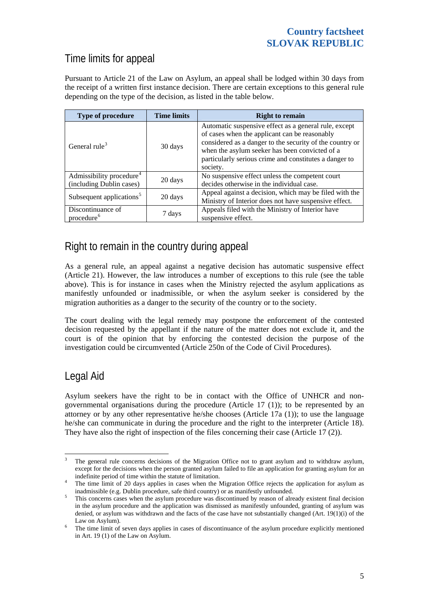### Time limits for appeal

Pursuant to Article 21 of the Law on Asylum, an appeal shall be lodged within 30 days from the receipt of a written first instance decision. There are certain exceptions to this general rule depending on the type of the decision, as listed in the table below.

| Type of procedure                                                | <b>Time limits</b> | <b>Right to remain</b>                                                                                                                                                                                                                                                                     |
|------------------------------------------------------------------|--------------------|--------------------------------------------------------------------------------------------------------------------------------------------------------------------------------------------------------------------------------------------------------------------------------------------|
| General rule <sup>3</sup>                                        | 30 days            | Automatic suspensive effect as a general rule, except<br>of cases when the applicant can be reasonably<br>considered as a danger to the security of the country or<br>when the asylum seeker has been convicted of a<br>particularly serious crime and constitutes a danger to<br>society. |
| Admissibility procedure <sup>4</sup><br>(including Dublin cases) | 20 days            | No suspensive effect unless the competent court<br>decides otherwise in the individual case.                                                                                                                                                                                               |
| Subsequent applications <sup>5</sup>                             | 20 days            | Appeal against a decision, which may be filed with the<br>Ministry of Interior does not have suspensive effect.                                                                                                                                                                            |
| Discontinuance of<br>procedure <sup>6</sup>                      | 7 days             | Appeals filed with the Ministry of Interior have<br>suspensive effect.                                                                                                                                                                                                                     |

### Right to remain in the country during appeal

As a general rule, an appeal against a negative decision has automatic suspensive effect (Article 21). However, the law introduces a number of exceptions to this rule (see the table above). This is for instance in cases when the Ministry rejected the asylum applications as manifestly unfounded or inadmissible, or when the asylum seeker is considered by the migration authorities as a danger to the security of the country or to the society.

The court dealing with the legal remedy may postpone the enforcement of the contested decision requested by the appellant if the nature of the matter does not exclude it, and the court is of the opinion that by enforcing the contested decision the purpose of the investigation could be circumvented (Article 250n of the Code of Civil Procedures).

### Legal Aid

Asylum seekers have the right to be in contact with the Office of UNHCR and nongovernmental organisations during the procedure (Article 17 (1)); to be represented by an attorney or by any other representative he/she chooses (Article 17a  $(1)$ ); to use the language he/she can communicate in during the procedure and the right to the interpreter (Article 18). They have also the right of inspection of the files concerning their case (Article 17 (2)).

<span id="page-4-0"></span> $\frac{1}{3}$  The general rule concerns decisions of the Migration Office not to grant asylum and to withdraw asylum, except for the decisions when the person granted asylum failed to file an application for granting asylum for an indefinite period of time within the statute of limitation. 4

<span id="page-4-1"></span><sup>&</sup>lt;sup>4</sup> The time limit of 20 days applies in cases when the Migration Office rejects the application for asylum as inadmissible (e.g. Dublin procedure, safe third country) or as manifestly unfounded. 5

<span id="page-4-2"></span><sup>&</sup>lt;sup>5</sup> This concerns cases when the asylum procedure was discontinued by reason of already existent final decision in the asylum procedure and the application was dismissed as manifestly unfounded, granting of asylum was denied, or asylum was withdrawn and the facts of the case have not substantially changed (Art. 19(1)(i) of the

<span id="page-4-3"></span>Law on Asylum).<br><sup>6</sup> The time limit of seven days applies in cases of discontinuance of the asylum procedure explicitly mentioned in Art. 19 (1) of the Law on Asylum.